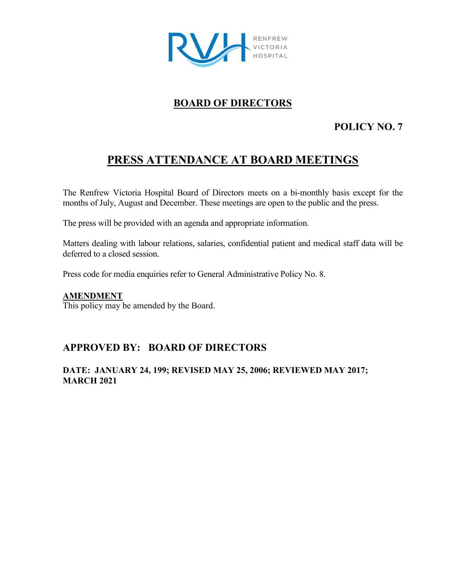

# **BOARD OF DIRECTORS**

# **POLICY NO. 7**

# **PRESS ATTENDANCE AT BOARD MEETINGS**

The Renfrew Victoria Hospital Board of Directors meets on a bi-monthly basis except for the months of July, August and December. These meetings are open to the public and the press.

The press will be provided with an agenda and appropriate information.

Matters dealing with labour relations, salaries, confidential patient and medical staff data will be deferred to a closed session.

Press code for media enquiries refer to General Administrative Policy No. 8.

#### **AMENDMENT**

This policy may be amended by the Board.

## **APPROVED BY: BOARD OF DIRECTORS**

#### **DATE: JANUARY 24, 199; REVISED MAY 25, 2006; REVIEWED MAY 2017; MARCH 2021**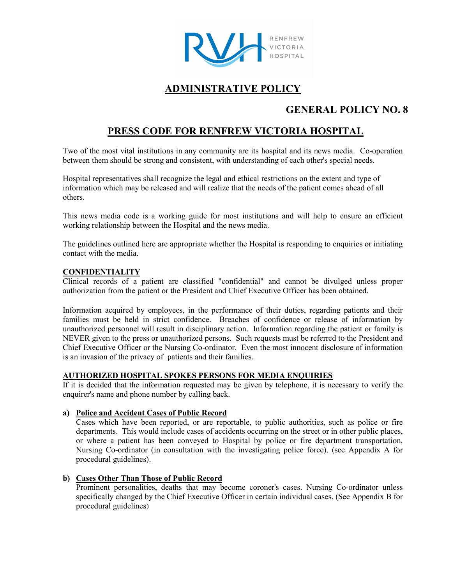

# **ADMINISTRATIVE POLICY**

## **GENERAL POLICY NO. 8**

## **PRESS CODE FOR RENFREW VICTORIA HOSPITAL**

Two of the most vital institutions in any community are its hospital and its news media. Co-operation between them should be strong and consistent, with understanding of each other's special needs.

Hospital representatives shall recognize the legal and ethical restrictions on the extent and type of information which may be released and will realize that the needs of the patient comes ahead of all others.

This news media code is a working guide for most institutions and will help to ensure an efficient working relationship between the Hospital and the news media.

The guidelines outlined here are appropriate whether the Hospital is responding to enquiries or initiating contact with the media.

#### **CONFIDENTIALITY**

Clinical records of a patient are classified "confidential" and cannot be divulged unless proper authorization from the patient or the President and Chief Executive Officer has been obtained.

Information acquired by employees, in the performance of their duties, regarding patients and their families must be held in strict confidence. Breaches of confidence or release of information by unauthorized personnel will result in disciplinary action. Information regarding the patient or family is NEVER given to the press or unauthorized persons. Such requests must be referred to the President and Chief Executive Officer or the Nursing Co-ordinator. Even the most innocent disclosure of information is an invasion of the privacy of patients and their families.

#### **AUTHORIZED HOSPITAL SPOKES PERSONS FOR MEDIA ENQUIRIES**

If it is decided that the information requested may be given by telephone, it is necessary to verify the enquirer's name and phone number by calling back.

#### **a) Police and Accident Cases of Public Record**

Cases which have been reported, or are reportable, to public authorities, such as police or fire departments. This would include cases of accidents occurring on the street or in other public places, or where a patient has been conveyed to Hospital by police or fire department transportation. Nursing Co-ordinator (in consultation with the investigating police force). (see Appendix A for procedural guidelines).

#### **b) Cases Other Than Those of Public Record**

Prominent personalities, deaths that may become coroner's cases. Nursing Co-ordinator unless specifically changed by the Chief Executive Officer in certain individual cases. (See Appendix B for procedural guidelines)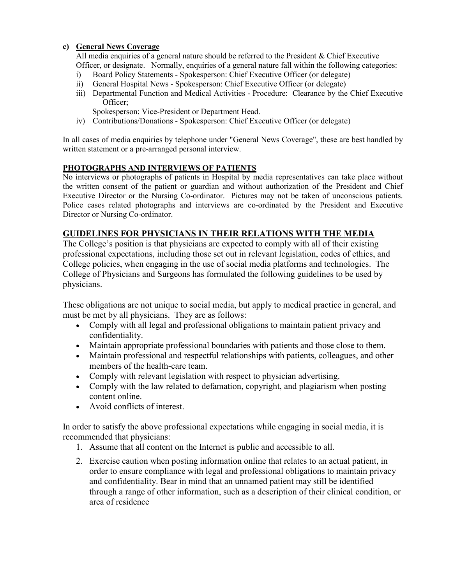#### **c) General News Coverage**

All media enquiries of a general nature should be referred to the President & Chief Executive Officer, or designate. Normally, enquiries of a general nature fall within the following categories:

- i) Board Policy Statements Spokesperson: Chief Executive Officer (or delegate)
- ii) General Hospital News Spokesperson: Chief Executive Officer (or delegate)
- iii) Departmental Function and Medical Activities Procedure: Clearance by the Chief Executive Officer;

Spokesperson: Vice-President or Department Head.

iv) Contributions/Donations - Spokesperson: Chief Executive Officer (or delegate)

In all cases of media enquiries by telephone under "General News Coverage", these are best handled by written statement or a pre-arranged personal interview.

#### **PHOTOGRAPHS AND INTERVIEWS OF PATIENTS**

No interviews or photographs of patients in Hospital by media representatives can take place without the written consent of the patient or guardian and without authorization of the President and Chief Executive Director or the Nursing Co-ordinator. Pictures may not be taken of unconscious patients. Police cases related photographs and interviews are co-ordinated by the President and Executive Director or Nursing Co-ordinator.

### **GUIDELINES FOR PHYSICIANS IN THEIR RELATIONS WITH THE MEDIA**

The College's position is that physicians are expected to comply with all of their existing professional expectations, including those set out in relevant legislation, codes of ethics, and College policies, when engaging in the use of social media platforms and technologies. The College of Physicians and Surgeons has formulated the following guidelines to be used by physicians.

These obligations are not unique to social media, but apply to medical practice in general, and must be met by all physicians. They are as follows:

- Comply with all legal and professional obligations to maintain patient privacy and confidentiality.
- Maintain appropriate professional boundaries with patients and those close to them.
- Maintain professional and respectful relationships with patients, colleagues, and other members of the health-care team.
- Comply with relevant legislation with respect to physician advertising.
- Comply with the law related to defamation, copyright, and plagiarism when posting content online.
- Avoid conflicts of interest.

In order to satisfy the above professional expectations while engaging in social media, it is recommended that physicians:

- 1. Assume that all content on the Internet is public and accessible to all.
- 2. Exercise caution when posting information online that relates to an actual patient, in order to ensure compliance with legal and professional obligations to maintain privacy and confidentiality. Bear in mind that an unnamed patient may still be identified through a range of other information, such as a description of their clinical condition, or area of residence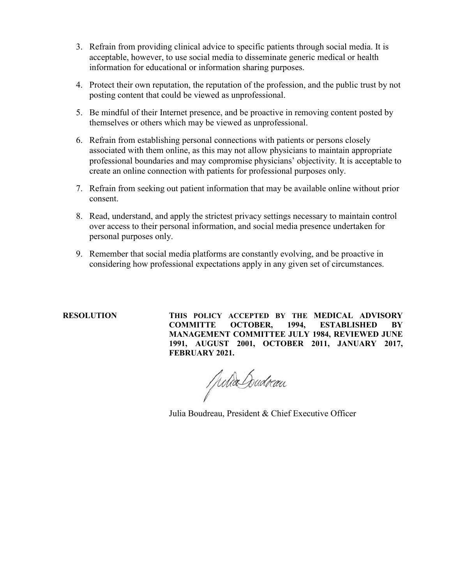- 3. Refrain from providing clinical advice to specific patients through social media. It is acceptable, however, to use social media to disseminate generic medical or health information for educational or information sharing purposes.
- 4. Protect their own reputation, the reputation of the profession, and the public trust by not posting content that could be viewed as unprofessional.
- 5. Be mindful of their Internet presence, and be proactive in removing content posted by themselves or others which may be viewed as unprofessional.
- 6. Refrain from establishing personal connections with patients or persons closely associated with them online, as this may not allow physicians to maintain appropriate professional boundaries and may compromise physicians' objectivity. It is acceptable to create an online connection with patients for professional purposes only.
- 7. Refrain from seeking out patient information that may be available online without prior consent.
- 8. Read, understand, and apply the strictest privacy settings necessary to maintain control over access to their personal information, and social media presence undertaken for personal purposes only.
- 9. Remember that social media platforms are constantly evolving, and be proactive in considering how professional expectations apply in any given set of circumstances.

**RESOLUTION THIS POLICY ACCEPTED BY THE MEDICAL ADVISORY COMMITTE OCTOBER, 1994, ESTABLISHED BY MANAGEMENT COMMITTEE JULY 1984, REVIEWED JUNE 1991, AUGUST 2001, OCTOBER 2011, JANUARY 2017, FEBRUARY 2021.**

Julia Coudran

Julia Boudreau, President & Chief Executive Officer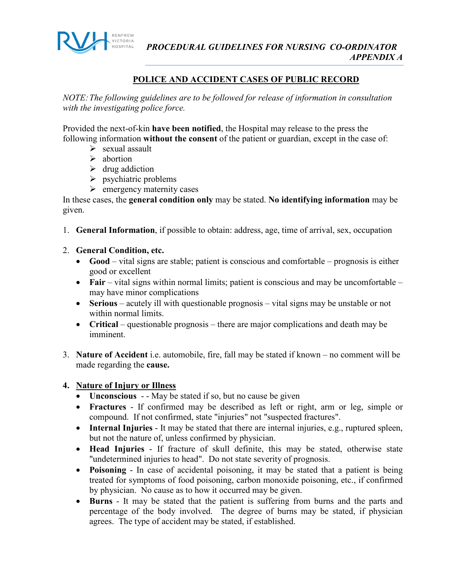

#### **POLICE AND ACCIDENT CASES OF PUBLIC RECORD**

*NOTE:The following guidelines are to be followed for release of information in consultation with the investigating police force.*

Provided the next-of-kin **have been notified**, the Hospital may release to the press the following information **without the consent** of the patient or guardian, except in the case of:

- $\triangleright$  sexual assault
- $\triangleright$  abortion
- $\triangleright$  drug addiction
- $\triangleright$  psychiatric problems
- $\triangleright$  emergency maternity cases

In these cases, the **general condition only** may be stated. **No identifying information** may be given.

- 1. **General Information**, if possible to obtain: address, age, time of arrival, sex, occupation
- 2. **General Condition, etc.**
	- **Good** vital signs are stable; patient is conscious and comfortable prognosis is either good or excellent
	- **Fair** vital signs within normal limits; patient is conscious and may be uncomfortable may have minor complications
	- **Serious** acutely ill with questionable prognosis vital signs may be unstable or not within normal limits.
	- **Critical** questionable prognosis there are major complications and death may be imminent.
- 3. **Nature of Accident** i.e. automobile, fire, fall may be stated if known no comment will be made regarding the **cause.**

#### **4. Nature of Injury or Illness**

- **Unconscious** - May be stated if so, but no cause be given
- **Fractures** If confirmed may be described as left or right, arm or leg, simple or compound. If not confirmed, state "injuries" not "suspected fractures".
- **Internal Injuries** It may be stated that there are internal injuries, e.g., ruptured spleen, but not the nature of, unless confirmed by physician.
- **Head Injuries** If fracture of skull definite, this may be stated, otherwise state "undetermined injuries to head". Do not state severity of prognosis.
- **Poisoning** In case of accidental poisoning, it may be stated that a patient is being treated for symptoms of food poisoning, carbon monoxide poisoning, etc., if confirmed by physician. No cause as to how it occurred may be given.
- **Burns**  It may be stated that the patient is suffering from burns and the parts and percentage of the body involved. The degree of burns may be stated, if physician agrees. The type of accident may be stated, if established.